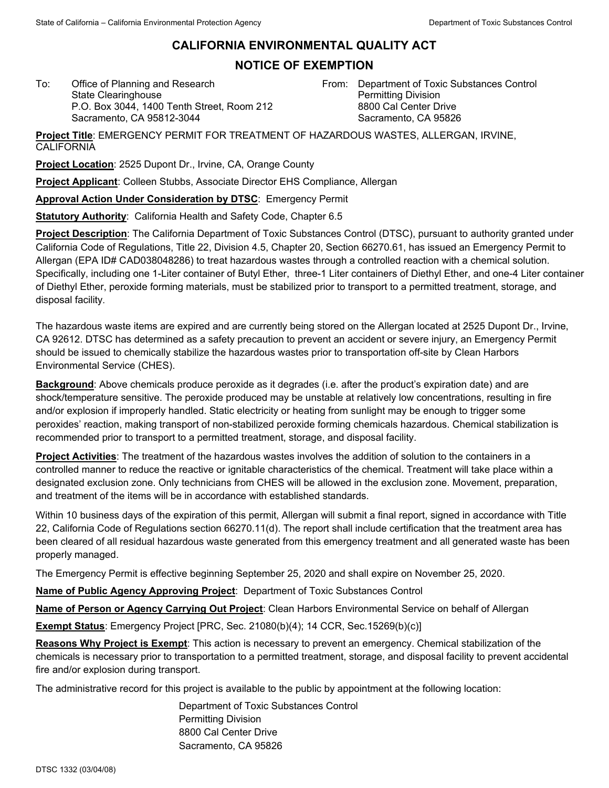## **CALIFORNIA ENVIRONMENTAL QUALITY ACT**

## **NOTICE OF EXEMPTION**

To: Office of Planning and Research State Clearinghouse P.O. Box 3044, 1400 Tenth Street, Room 212 Sacramento, CA 95812-3044

From: Department of Toxic Substances Control Permitting Division 8800 Cal Center Drive Sacramento, CA 95826

**Project Title**: EMERGENCY PERMIT FOR TREATMENT OF HAZARDOUS WASTES, ALLERGAN, IRVINE, CALIFORNIA

**Project Location**: 2525 Dupont Dr., Irvine, CA, Orange County

**Project Applicant**: Colleen Stubbs, Associate Director EHS Compliance, Allergan

**Approval Action Under Consideration by DTSC**: Emergency Permit

**Statutory Authority**: California Health and Safety Code, Chapter 6.5

**Project Description**: The California Department of Toxic Substances Control (DTSC), pursuant to authority granted under California Code of Regulations, Title 22, Division 4.5, Chapter 20, Section 66270.61, has issued an Emergency Permit to Allergan (EPA ID# CAD038048286) to treat hazardous wastes through a controlled reaction with a chemical solution. Specifically, including one 1-Liter container of Butyl Ether, three-1 Liter containers of Diethyl Ether, and one-4 Liter container of Diethyl Ether, peroxide forming materials, must be stabilized prior to transport to a permitted treatment, storage, and disposal facility.

The hazardous waste items are expired and are currently being stored on the Allergan located at 2525 Dupont Dr., Irvine, CA 92612. DTSC has determined as a safety precaution to prevent an accident or severe injury, an Emergency Permit should be issued to chemically stabilize the hazardous wastes prior to transportation off-site by Clean Harbors Environmental Service (CHES).

**Background**: Above chemicals produce peroxide as it degrades (i.e. after the product's expiration date) and are shock/temperature sensitive. The peroxide produced may be unstable at relatively low concentrations, resulting in fire and/or explosion if improperly handled. Static electricity or heating from sunlight may be enough to trigger some peroxides' reaction, making transport of non-stabilized peroxide forming chemicals hazardous. Chemical stabilization is recommended prior to transport to a permitted treatment, storage, and disposal facility.

**Project Activities**: The treatment of the hazardous wastes involves the addition of solution to the containers in a controlled manner to reduce the reactive or ignitable characteristics of the chemical. Treatment will take place within a designated exclusion zone. Only technicians from CHES will be allowed in the exclusion zone. Movement, preparation, and treatment of the items will be in accordance with established standards.

Within 10 business days of the expiration of this permit, Allergan will submit a final report, signed in accordance with Title 22, California Code of Regulations section 66270.11(d). The report shall include certification that the treatment area has been cleared of all residual hazardous waste generated from this emergency treatment and all generated waste has been properly managed.

The Emergency Permit is effective beginning September 25, 2020 and shall expire on November 25, 2020.

**Name of Public Agency Approving Project**: Department of Toxic Substances Control

**Name of Person or Agency Carrying Out Project**: Clean Harbors Environmental Service on behalf of Allergan

**Exempt Status**: Emergency Project [PRC, Sec. 21080(b)(4); 14 CCR, Sec.15269(b)(c)]

**Reasons Why Project is Exempt**: This action is necessary to prevent an emergency. Chemical stabilization of the chemicals is necessary prior to transportation to a permitted treatment, storage, and disposal facility to prevent accidental fire and/or explosion during transport.

The administrative record for this project is available to the public by appointment at the following location:

Department of Toxic Substances Control Permitting Division 8800 Cal Center Drive Sacramento, CA 95826